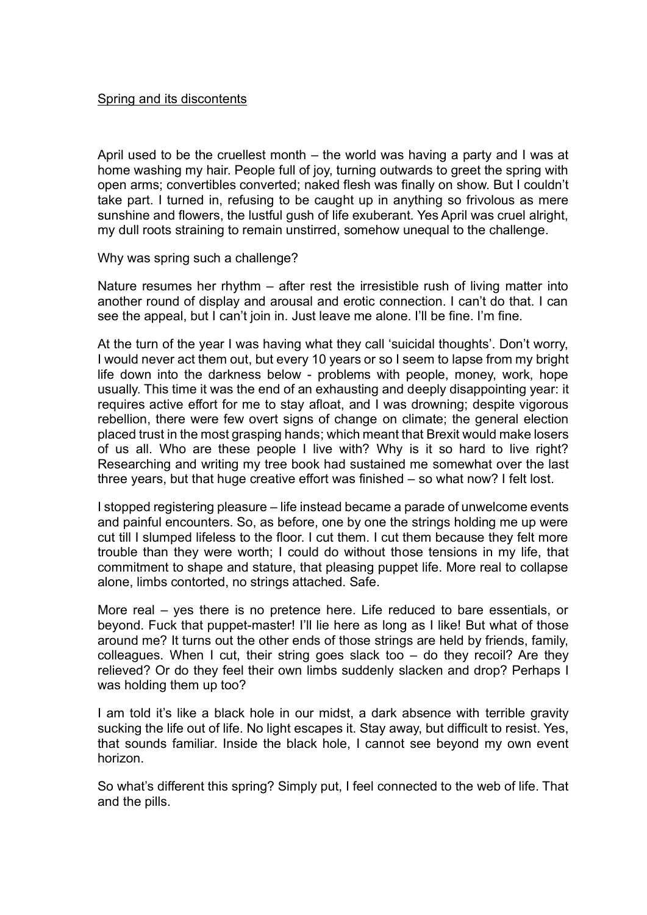April used to be the cruellest month – the world was having a party and I was at home washing my hair. People full of joy, turning outwards to greet the spring with open arms; convertibles converted; naked flesh was finally on show. But I couldn't take part. I turned in, refusing to be caught up in anything so frivolous as mere sunshine and flowers, the lustful gush of life exuberant. Yes April was cruel alright, my dull roots straining to remain unstirred, somehow unequal to the challenge.

Why was spring such a challenge?

Nature resumes her rhythm – after rest the irresistible rush of living matter into another round of display and arousal and erotic connection. I can't do that. I can see the appeal, but I can't join in. Just leave me alone. I'll be fine. I'm fine.

At the turn of the year I was having what they call 'suicidal thoughts'. Don't worry, I would never act them out, but every 10 years or so I seem to lapse from my bright life down into the darkness below - problems with people, money, work, hope usually. This time it was the end of an exhausting and deeply disappointing year: it requires active effort for me to stay afloat, and I was drowning; despite vigorous rebellion, there were few overt signs of change on climate; the general election placed trust in the most grasping hands; which meant that Brexit would make losers of us all. Who are these people I live with? Why is it so hard to live right? Researching and writing my tree book had sustained me somewhat over the last three years, but that huge creative effort was finished – so what now? I felt lost.

I stopped registering pleasure – life instead became a parade of unwelcome events and painful encounters. So, as before, one by one the strings holding me up were cut till I slumped lifeless to the floor. I cut them. I cut them because they felt more trouble than they were worth; I could do without those tensions in my life, that commitment to shape and stature, that pleasing puppet life. More real to collapse alone, limbs contorted, no strings attached. Safe.

More real – yes there is no pretence here. Life reduced to bare essentials, or beyond. Fuck that puppet-master! I'll lie here as long as I like! But what of those around me? It turns out the other ends of those strings are held by friends, family, colleagues. When I cut, their string goes slack too – do they recoil? Are they relieved? Or do they feel their own limbs suddenly slacken and drop? Perhaps I was holding them up too?

I am told it's like a black hole in our midst, a dark absence with terrible gravity sucking the life out of life. No light escapes it. Stay away, but difficult to resist. Yes, that sounds familiar. Inside the black hole, I cannot see beyond my own event horizon.

So what's different this spring? Simply put, I feel connected to the web of life. That and the pills.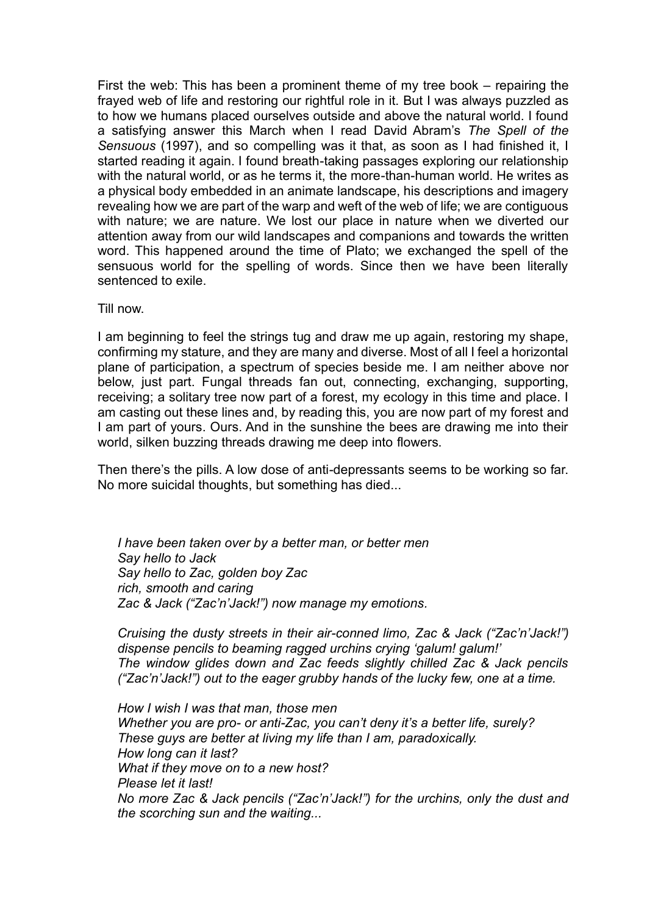First the web: This has been a prominent theme of my tree book – repairing the frayed web of life and restoring our rightful role in it. But I was always puzzled as to how we humans placed ourselves outside and above the natural world. I found a satisfying answer this March when I read David Abram's *The Spell of the Sensuous* (1997), and so compelling was it that, as soon as I had finished it, I started reading it again. I found breath-taking passages exploring our relationship with the natural world, or as he terms it, the more-than-human world. He writes as a physical body embedded in an animate landscape, his descriptions and imagery revealing how we are part of the warp and weft of the web of life; we are contiguous with nature; we are nature. We lost our place in nature when we diverted our attention away from our wild landscapes and companions and towards the written word. This happened around the time of Plato; we exchanged the spell of the sensuous world for the spelling of words. Since then we have been literally sentenced to exile.

Till now.

I am beginning to feel the strings tug and draw me up again, restoring my shape, confirming my stature, and they are many and diverse. Most of all I feel a horizontal plane of participation, a spectrum of species beside me. I am neither above nor below, just part. Fungal threads fan out, connecting, exchanging, supporting, receiving; a solitary tree now part of a forest, my ecology in this time and place. I am casting out these lines and, by reading this, you are now part of my forest and I am part of yours. Ours. And in the sunshine the bees are drawing me into their world, silken buzzing threads drawing me deep into flowers.

Then there's the pills. A low dose of anti-depressants seems to be working so far. No more suicidal thoughts, but something has died...

*I have been taken over by a better man, or better men Say hello to Jack Say hello to Zac, golden boy Zac rich, smooth and caring Zac & Jack ("Zac'n'Jack!") now manage my emotions.*

*Cruising the dusty streets in their air-conned limo, Zac & Jack ("Zac'n'Jack!") dispense pencils to beaming ragged urchins crying 'galum! galum!' The window glides down and Zac feeds slightly chilled Zac & Jack pencils ("Zac'n'Jack!") out to the eager grubby hands of the lucky few, one at a time.*

*How I wish I was that man, those men Whether you are pro- or anti-Zac, you can't deny it's a better life, surely? These guys are better at living my life than I am, paradoxically. How long can it last? What if they move on to a new host? Please let it last! No more Zac & Jack pencils ("Zac'n'Jack!") for the urchins, only the dust and the scorching sun and the waiting...*